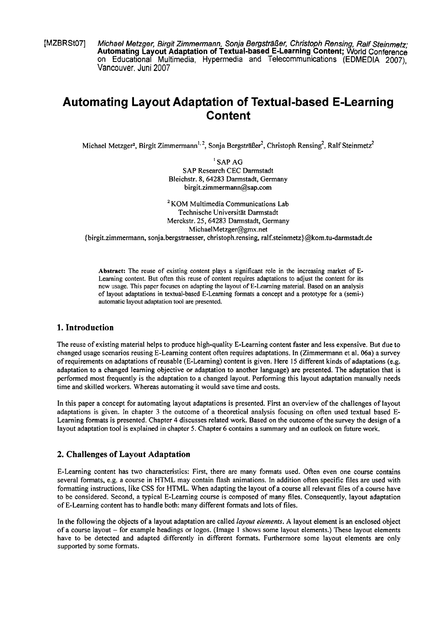**[MZBRSt07]** Michael Metzger, Birgit Zimmermann, Sonja Bergsträßer, Christoph Rensing, Ralf Steinmefz; **Automating Layout Adaptation of Textual-based E-Learning Content; World** Conference on Educational Multimedia, Hypermedia and Telecommunications (EDMEDIA 2007), Vancouver, Juni 2007

# **Automating Layout Adaptation of Textual-based E-Learning Content**

Michael Metzger<sup>2</sup>, Birgit Zimmermann<sup>1, 2</sup>, Sonja Bergsträßer<sup>2</sup>, Christoph Rensing<sup>2</sup>, Ralf Steinmetz<sup>2</sup>

' SAP AG SAP Research CEC Darmstadt Bleichstr. **8, 64283** Darmstadt, Germany **birgit.zimmermann@sap.com** 

<sup>2</sup> KOM Multimedia Communications Lab Technische Universität Darmstadt Merckstr. **25,64283** Darmstadt, Germany MichaelMetzger@gmx.net (birgit.zimmermann, sonja.bergstraesser, christoph.rensing, **ralf.steinmetz)@kom.tu-darrnstadt.de** 

Abstract: The reuse of existing content plays a significant role in the increasing market of E-Learning content. But often this reuse of content requires adaptations to adjust the content for its new usage. This paper focuses on adapting the layout of E-Learning material. Based on an analysis of layout adaptations in textual-based E-Learning formats a concept and a prototype for a (semi-) automatic layout adaptation tool are presented.

## **1. Introduction**

The reuse of existing material helps to produce high-quality E-Learning content faster and less expensive. But due to changed usage scenarios reusing E-Learning content often requires adaptations. In (Zimmermann et al. 06a) a survey of requirements on adaptations of reusable (E-Leaming) content is given. Here 15 different kinds of adaptations (e.g. adaptation to a changed leaming objective or adaptation to another language) are presented. The adaptation that is performed most frequently is the adaptation to a changed layout. Performing this layout adaptation manually needs time and skilled workers. Whereas automating it would save time and costs.

In this paper a concept for automating layout adaptations is presented. First an overview of the challenges of layout adaptations is given. In chapter 3 the outcome of a theoretical analysis focusing on ofien used textual based E-Learning formats is presented. Chapter **4** discusses related work. Based on the outcome of the survey the design of a layout adaptation tool is explained in chapter 5. Chapter 6 contains a Summary and an outlook on future work.

## **2. Challenges of Layout Adaptation**

E-Learning content **has** two characteristics: First, there are many formats used. Often even one course contains several formats, e.g. a course in HTML may contain flash animations. In addition often specific files are used with formatting instructions, like CSS for HTML. When adapting the layout of a course all relevant files of a course have to be considered. Second, a typical E-Learning course is composed of many files. Consequently, layout adaptation of E-Learning content has to handle both: many different formats and lots of files.

In the following the objects of a layout adaptation are called *layout elements*. A layout element is an enclosed object of a course layout - for example headings or logos. (Image 1 shows some layout elements.) These layout elements have to be detected and adapted differently in different formats. Furthermore some layout elements are only supported by some formats.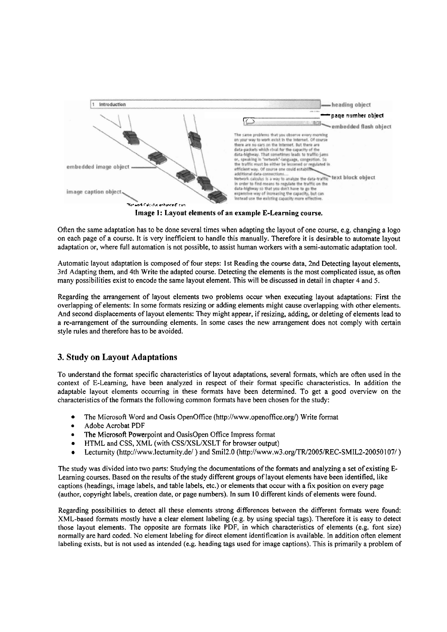

Image **1:** Layout elements **of** an example E-Learning course.

Often the Same adaptation has to be done several times when adapting the layout of one course, e.g. changing a logo on each Page of a course. It is very inefticient to handle this manually. Therefore it is desirable to automate layout adaptation or, where full automation is not possible, to assist human workers with a semi-automatic adaptation tool.

Automatic layout adaptation is composed of four steps: Ist Reading the course data, 2nd Detecting layout elements, 3rd Adapting them, and 4th Write the adapted course. Detecting the elements is the most complicated issue, as often many possibilities exist to encode the Same layout element. This will be discussed in detail in chapter 4 and 5.

Regarding the arrangement of layout elements two problems occur when executing layout adaptations: First the overlapping of elements: In some formats resizing or adding elements might cause overlapping with other elements. And second displacements of layout elements: They might appear, if resizing, adding, or deleting of elements lead to a re-arrangement of the surrounding elements. In some cases the new arrangement does not comply with certain style rules and therefore has to be avoided.

# **3. Study on Layout Adaptations**

To understand the format specific characteristics of layout adaptations, several formats, which are often used in the context of E-Leaming, have been analyzed in respect of their format specific characteristics. In addition the adaptable layout elements occurring in these formats have been determined. To get a good overview on the characteristics of the formats the following common formats have been chosen for the study:

- The Microsoft Word and Oasis OpenOffice (http://www.openoffice.org/) Wnte format
- Adobe Acrobat PDF
- The Microsofi Powerpoint and OasisOpen Office Impress format  $\bullet$
- HTML and CSS, XML (with CSS/XSL/XSLT for browser output)  $\bullet$
- Lectumity (http://www.lectumity.de/ ) and Smi12.0 **(http://www.w3.org/TR12005/REC-SMIL2-2005** 1071 )  $\bullet$

The study was divided into two parts: Studying the documentations of the formats and analyzing a set of existing E-Learning courses. Based on the results of the study different groups of layout elements have been identified, like captions (headings, image labels, and table labels, etc.) or elements that occur with a fix position on every page (author, copyright labels, creation date, or Page numbers). In sum 10 different kinds of elements were found.

Regarding possibilities to detect all these elements strong differentes between the different formats were found: XML-based formats mostly have a clear element labeling (e.g. by using special tags). Therefore it is easy to detect those layout elements. The opposite are formats like PDF, in which characteristics of elements (e.g. font size) normally are hard coded. No element labeling for direct element identification is available. In addition often element labeling exists, but is not used as intended (e.g. heading tags used for image captions). This is primarily a problem of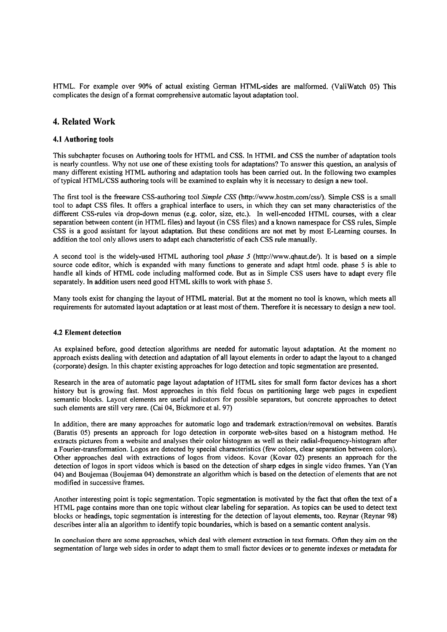HTML. For example over 90% of actual existing German HTML-sides are malformed. (ValiWatch 05) This complicates the design of a format comprehensive automatic layout adaptation tool.

## **4. Related Work**

#### 4.1 Authoring tools

This subchapter focuses on Authoring tools for HTML and CSS. In HTML and CSS the number of adaptation tools is nearly countless. Why not use one of these existing tools for adaptations? To answer this question, an analysis of many different existing HTML authoring and adaptation tools has been carried out. In the following two examples of typical HTML/CSS authoring tools will be examined to explain why it is necessary to design a new tool.

The first tool is the freeware CSS-authoring tool *Simple CSS* (http://www.hostm.com/css/). Simple CSS is a small tool to adapt CSS files. It offers a graphical interface to users, in which they can set many characteristics of the different CSS-rules via drop-down menus (e.g. color, size, etc.). In well-encoded HTML courses, with a clear separation between content (in HTML files) and layout (in CSS files) and a known namespace for CSS rules, Simple CSS is a good assistant for layout adaptation. But these conditions are not met by most E-Learning courses. In addition the tool only allows users to adapt each characteristic of each CSS rule manually.

A second tool is the widely-used HTML authoring tool *phase* 5 (http://www.qhaut.de/). It is based on a simple source code editor, which is expanded with many functions to generate and adapt html code. phase 5 is able to handle all kinds of HTML code including malformed code. But as in Simple CSS users have to adapt every file separately. In addition users need good HTML skills to work with phase 5.

Many tools exist for changing the layout of HTML material. But at the moment no tool is known, which meets all requirements for automated layout adaptation or at least most of them. Therefore it is necessary to design a new tool.

#### 4.2 Element detection

As explained before, good detection algorithms are needed for automatic layout adaptation. At the moment no approach exists dealing with detection and adaptation of all layout elements in order to adapt the layout to a changed (corporate) design. In this chapter existing approaches for logo detection and topic segmentation are presented.

Research in the area of automatic page layout adaptation of HTML sites for small form factor devices has a short history but is growing fast. Most approaches in this field focus on partitioning large web pages in expedient semantic blocks. Layout elements are useful indicators for possible separators, but concrete approaches to detect such elements are still very rare. (Cai 04, Bickmore et al. 97)

In addition, there are many approaches for automatic logo and trademark extraction/removal on websites. Baratis (Baratis 05) presents an approach for logo detection in corporate web-sites based on a histogram method. He extracts pictures from a website and analyses their color histogram as well as their radial-frequency-histogram afier a Fourier-transformation. Logos are detected by special characteristics (few colors, clear separation between colors). Other approaches deal with extractions of logos from videos. Kovar (Kovar 02) presents an approach for the detection of logos in sport videos which is based on the detection of sharp edges in single video frames. Yan (Yan 04) and Boujemaa (Boujemaa 04) demonstrate an algorithm which is based on the detection of elements that are not modified in successive frames.

Another interesting point is topic segmentation. Topic segmentation is motivated by the fact that often the text of a HTML Page contains more than one topic without clear labeling for separation. As topics can be used to detect text blocks or headings, topic segmentation is interesting for the detection of layout elements, too. Reynar (Reynar 98) describes inter alia an algorithm to identify topic boundaries, which is based on a semantic content analysis.

In conclusion there are some approaches, which deal with element extraction in text formats. Often they aim on the segmentation of large web sides in order to adapt them to small factor devices or to generate indexes or metadata for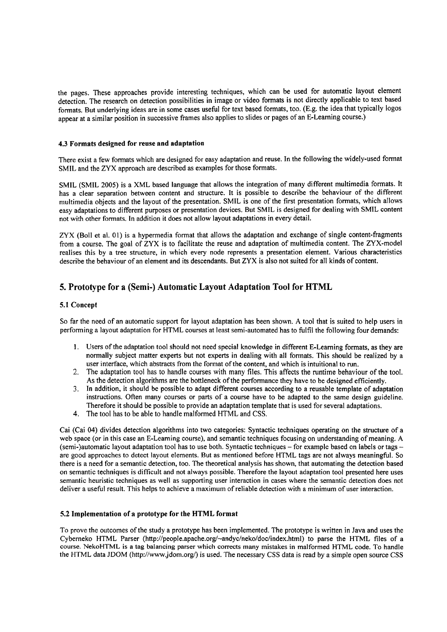the pages. These approaches provide interesting techniques, which can be used for automatic layout element detection. The research on detection possibilities in image or video formats is not directly applicable to text based formats. But underlying ideas are in some cases useful for text based formats, too. (E.g. the idea that typically logos appear at a similar position in successive frames also applies to slides or pages of an E-Leaming course.)

#### **4.3 Formats designed for reuse and adaptation**

There exist a few formats which are designed for easy adaptation and reuse. In the following the widely-used format SMIL and the ZYX approach are described **as** examples for those formats.

SMIL (SMIL 2005) is a XML based language that allows the integration of many different multimedia formats. It has a clear separation between content and structure. It is possible to describe the behaviour of the different multimedia objects and the layout of the presentation. SMIL is one of the first presentation formats, which allows easy adaptations to different purposes or presentation devices. But SMIL is designed for dealing with SMIL content not with other formats. In addition it does not allow layout adaptations in every detail.

**ZYX** (Boll et al. 01) is a hypermedia format that allows the adaptation and exchange of single content-fragments from a course. The goal of ZYX is to facilitate the reuse and adaptation of multimedia content. The ZYX-model realises this by a tree structure, in which every node represents a presentation element. Various characteristics describe the behaviour of an element and its descendants. But ZYX is also not suited for all kinds of content.

## **5. Prototype for a (Semi-) Automatic Layout Adaptation Tool for HTML**

#### **5.1 Concept**

So far the need of an automatic support for layout adaptation has been shown. A tool that is suited to help users in performing a layout adaptation for HTML courses at least semi-automated has to fulfil the following four demands:

- **1.** Users of the adaptation tool should not need special knowledge in different E-Leaming formats, as they are normally subject matter experts but not experts in dealing with all formats. This should be realized by a user interface, which abstracts from the format of the content, and which is intuitional to run.
- 2. The adaptation tool has to handle courses with many files. This affects the mntime behaviour of the tool. As the detection algorithms are the bottleneck of the performance they have to be designed efficiently.
- 3. In addition, it should be possible to adapt different courses according to a reusable template of adaptation instructions. Often many courses or parts of a course have to be adapted to the same design guideline. Therefore it should be possible to provide an adaptation template that is used for several adaptations.
- **4.** The tool has to be able to handle malformed HTML and CSS.

Cai (Cai 04) divides detection algorithms into two categories: Syntactic techniques operating on the structure of a web space (or in this case an E-Learning course), and semantic techniques focusing on understanding of meaning. A (semi-)automatic layout adaptation tool has to use both. Syntactic techniques – for example based on labels or tags – are good approaches to detect layout elements. But as mentioned before HTML tags are not always meaningf there is a need for a semantic detection, too. The theoretical analysis has shown, that automating the detection based on semantic techniques is difficult and not always possible. Therefore the layout adaptation tool presented here uses semantic heuristic techniques as well as supporting user interaction in cases where the semantic detection does not deliver a useful result. This helps to achieve a maximum of reliable detection with a minimum of user interaction.

#### **5.2 Implementation of a prototype for the HTML format**

To prove the outcomes of the study a prototype has been implemented. The prototype is written in Java and uses the Cybemeko HTML Parser **(http://people.apache.org~-andyc/neko/doc/index.htmI)** to parse the HTML files of a course. NekoHTML is a tag balancing parser which corrects many mistakes in malformed HTML code. To handle the HTML data JDOM (http://www.jdom.org/) is used. The necessary CSS data is read by a simple open source CSS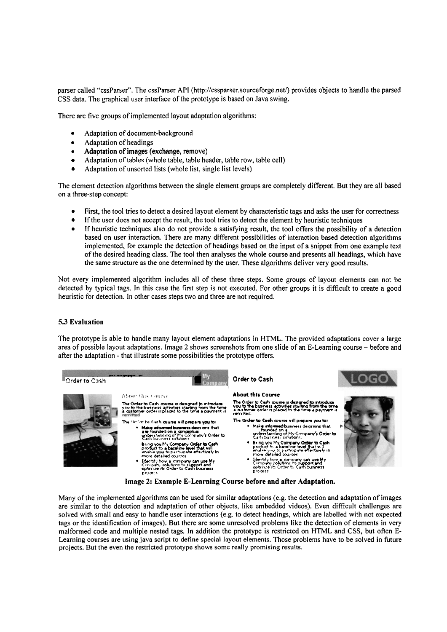parser called "cssParser". The cssParser API (http://cssparser.sourceforge.net/) provides objects to handle the parsed CSS data. The graphical user interface of the prototype is based on Java swing.

There are five groups of implemented layout adaptation algorithms:

- Adaptation of document-background
- Adaptation of headings
- Adaptation of images (exchange, remove)
- Adaptation of tables (whole table, table header, table row, table cell)
- Adaptation of unsorted lists (whole list, single list levels)

The element detection algorithms between the single element groups are completely different. But they are all based on a three-step concept:

- First, the tool tries to detect a desired layout element by characteristic tags and asks the user for correctness
- $\bullet$ If the user does not accept the result, the tool tries to detect the element by heuristic techniques
- If heuristic techniques also do not provide a satisfying result, the tool offers the possibility of a detection  $\bullet$ based on user interaction. There are many different possibilities of interaction based detection algorithms implemented, for example the detection of headings based on the input of a snippet from one example text of the desired heading class. The tool then analyses the whole course and presents all headings, which have the Same structure as the one determined by the user. These algorithms deliver very good results.

Not every implemented algorithm includes all of these three steps. Some groups of layout elements can not be detected by typical tags. In this case the first step is not executed. For other groups it is difficult to create a good heuristic for detection. In other cases steps two and three are not required.

#### **5.3 Evaluation**

The prototype is able to handle many layout element adaptations in HTML. The provided adaptations cover a large area of possible layout adaptations. Image 2 shows screenshots from one slide of an E-Learning course - before and afier the adaptation - that illustrate some possibilities the prototype offers.



Many of the implemented algorithms can be used for similar adaptations (e.g. the detection and adaptation of images are similar to the detection and adaptation of other objects, like embedded videos). Even dificult challenges are solved with small and easy to handle user interactions (e.g. to detect headings, which are labelled with not expected tags or the identification of images). But there are some unresolved problems like the detection of elements in very malformed code and multiple nested tags. In addition the prototype is restricted on HTML and CSS, but often E-Learning courses are using java script to define special layout elements. Those problems have to be solved in future projects. But the even the restricted prototype shows some really promising results.